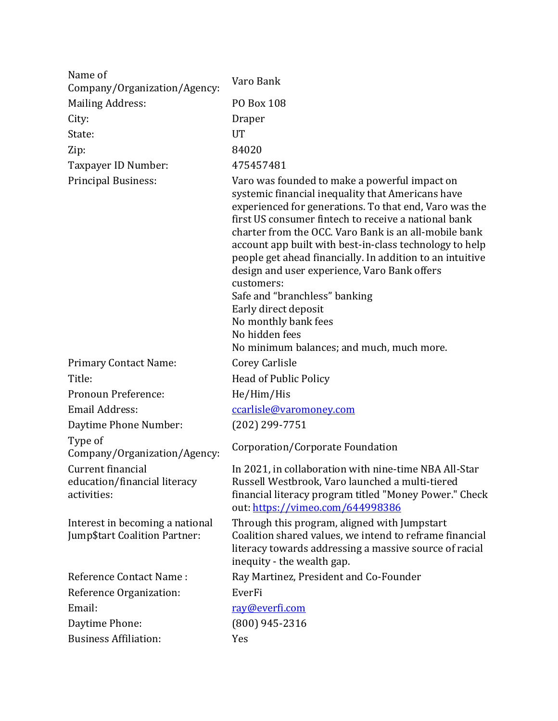| Name of<br>Company/Organization/Agency:                          | Varo Bank                                                                                                                                                                                                                                                                                                                                                                                                                                                                                                                                                                                                           |
|------------------------------------------------------------------|---------------------------------------------------------------------------------------------------------------------------------------------------------------------------------------------------------------------------------------------------------------------------------------------------------------------------------------------------------------------------------------------------------------------------------------------------------------------------------------------------------------------------------------------------------------------------------------------------------------------|
| <b>Mailing Address:</b>                                          | <b>PO Box 108</b>                                                                                                                                                                                                                                                                                                                                                                                                                                                                                                                                                                                                   |
| City:                                                            | <b>Draper</b>                                                                                                                                                                                                                                                                                                                                                                                                                                                                                                                                                                                                       |
| State:                                                           | <b>UT</b>                                                                                                                                                                                                                                                                                                                                                                                                                                                                                                                                                                                                           |
| Zip:                                                             | 84020                                                                                                                                                                                                                                                                                                                                                                                                                                                                                                                                                                                                               |
| Taxpayer ID Number:                                              | 475457481                                                                                                                                                                                                                                                                                                                                                                                                                                                                                                                                                                                                           |
| <b>Principal Business:</b>                                       | Varo was founded to make a powerful impact on<br>systemic financial inequality that Americans have<br>experienced for generations. To that end, Varo was the<br>first US consumer fintech to receive a national bank<br>charter from the OCC. Varo Bank is an all-mobile bank<br>account app built with best-in-class technology to help<br>people get ahead financially. In addition to an intuitive<br>design and user experience, Varo Bank offers<br>customers:<br>Safe and "branchless" banking<br>Early direct deposit<br>No monthly bank fees<br>No hidden fees<br>No minimum balances; and much, much more. |
| <b>Primary Contact Name:</b>                                     | Corey Carlisle                                                                                                                                                                                                                                                                                                                                                                                                                                                                                                                                                                                                      |
| Title:                                                           | Head of Public Policy                                                                                                                                                                                                                                                                                                                                                                                                                                                                                                                                                                                               |
| Pronoun Preference:                                              | He/Him/His                                                                                                                                                                                                                                                                                                                                                                                                                                                                                                                                                                                                          |
| <b>Email Address:</b>                                            | ccarlisle@varomoney.com                                                                                                                                                                                                                                                                                                                                                                                                                                                                                                                                                                                             |
| Daytime Phone Number:                                            | $(202)$ 299-7751                                                                                                                                                                                                                                                                                                                                                                                                                                                                                                                                                                                                    |
| Type of<br>Company/Organization/Agency:                          | Corporation/Corporate Foundation                                                                                                                                                                                                                                                                                                                                                                                                                                                                                                                                                                                    |
| Current financial<br>education/financial literacy<br>activities: | In 2021, in collaboration with nine-time NBA All-Star<br>Russell Westbrook, Varo launched a multi-tiered<br>financial literacy program titled "Money Power." Check<br>out: https://vimeo.com/644998386                                                                                                                                                                                                                                                                                                                                                                                                              |
| Interest in becoming a national<br>Jump\$tart Coalition Partner: | Through this program, aligned with Jumpstart<br>Coalition shared values, we intend to reframe financial<br>literacy towards addressing a massive source of racial<br>inequity - the wealth gap.                                                                                                                                                                                                                                                                                                                                                                                                                     |
| <b>Reference Contact Name:</b>                                   | Ray Martinez, President and Co-Founder                                                                                                                                                                                                                                                                                                                                                                                                                                                                                                                                                                              |
| Reference Organization:                                          | EverFi                                                                                                                                                                                                                                                                                                                                                                                                                                                                                                                                                                                                              |
| Email:                                                           | ray@everfi.com                                                                                                                                                                                                                                                                                                                                                                                                                                                                                                                                                                                                      |
| Daytime Phone:                                                   | $(800)$ 945-2316                                                                                                                                                                                                                                                                                                                                                                                                                                                                                                                                                                                                    |
| <b>Business Affiliation:</b>                                     | Yes                                                                                                                                                                                                                                                                                                                                                                                                                                                                                                                                                                                                                 |
|                                                                  |                                                                                                                                                                                                                                                                                                                                                                                                                                                                                                                                                                                                                     |